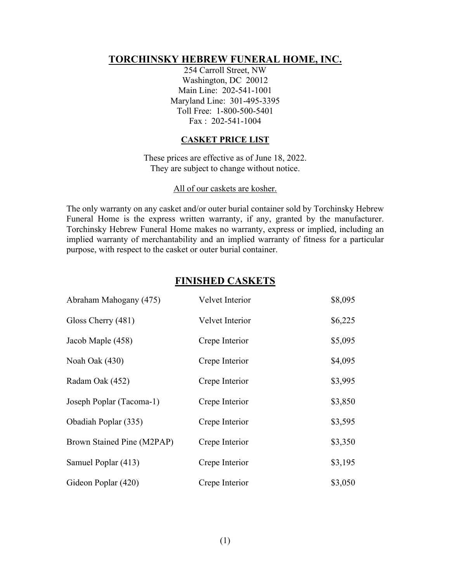## **TORCHINSKY HEBREW FUNERAL HOME, INC.**

254 Carroll Street, NW Washington, DC 20012 Main Line: 202-541-1001 Maryland Line: 301-495-3395 Toll Free: 1-800-500-5401 Fax : 202-541-1004

#### **CASKET PRICE LIST**

These prices are effective as of June 18, 2022. They are subject to change without notice.

#### All of our caskets are kosher.

The only warranty on any casket and/or outer burial container sold by Torchinsky Hebrew Funeral Home is the express written warranty, if any, granted by the manufacturer. Torchinsky Hebrew Funeral Home makes no warranty, express or implied, including an implied warranty of merchantability and an implied warranty of fitness for a particular purpose, with respect to the casket or outer burial container.

### **FINISHED CASKETS**

| Abraham Mahogany (475)     | Velvet Interior | \$8,095 |
|----------------------------|-----------------|---------|
| Gloss Cherry (481)         | Velvet Interior | \$6,225 |
| Jacob Maple (458)          | Crepe Interior  | \$5,095 |
| Noah Oak (430)             | Crepe Interior  | \$4,095 |
| Radam Oak (452)            | Crepe Interior  | \$3,995 |
| Joseph Poplar (Tacoma-1)   | Crepe Interior  | \$3,850 |
| Obadiah Poplar (335)       | Crepe Interior  | \$3,595 |
| Brown Stained Pine (M2PAP) | Crepe Interior  | \$3,350 |
| Samuel Poplar (413)        | Crepe Interior  | \$3,195 |
| Gideon Poplar (420)        | Crepe Interior  | \$3,050 |